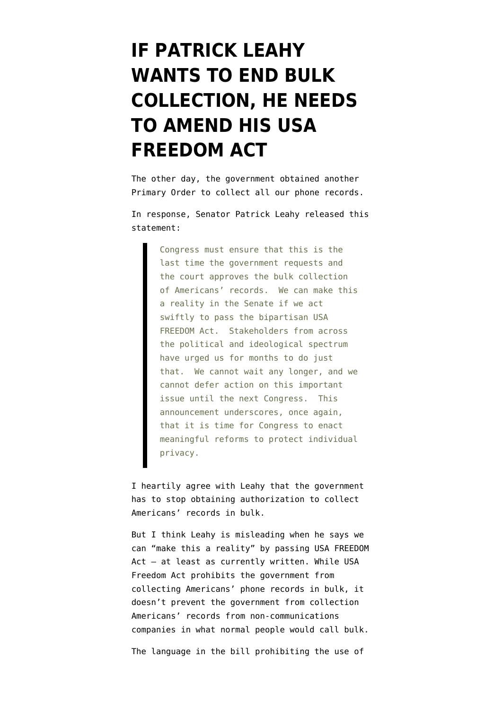## **[IF PATRICK LEAHY](https://www.emptywheel.net/2014/09/13/if-patrick-leahy-wants-to-end-bulk-collection-he-needs-to-amend-his-usa-freedom-act/) [WANTS TO END BULK](https://www.emptywheel.net/2014/09/13/if-patrick-leahy-wants-to-end-bulk-collection-he-needs-to-amend-his-usa-freedom-act/) [COLLECTION, HE NEEDS](https://www.emptywheel.net/2014/09/13/if-patrick-leahy-wants-to-end-bulk-collection-he-needs-to-amend-his-usa-freedom-act/) [TO AMEND HIS USA](https://www.emptywheel.net/2014/09/13/if-patrick-leahy-wants-to-end-bulk-collection-he-needs-to-amend-his-usa-freedom-act/) [FREEDOM ACT](https://www.emptywheel.net/2014/09/13/if-patrick-leahy-wants-to-end-bulk-collection-he-needs-to-amend-his-usa-freedom-act/)**

The other day, the government obtained another Primary Order to collect all our phone records.

In response, Senator Patrick Leahy released this statement:

> Congress must ensure that this is the last time the government requests and the court approves the bulk collection of Americans' records. We can make this a reality in the Senate if we act swiftly to pass the bipartisan USA FREEDOM Act. Stakeholders from across the political and ideological spectrum have urged us for months to do just that. We cannot wait any longer, and we cannot defer action on this important issue until the next Congress. This announcement underscores, once again, that it is time for Congress to enact meaningful reforms to protect individual privacy.

I heartily agree with Leahy that the government has to stop obtaining authorization to collect Americans' records in bulk.

But I think Leahy is misleading when he says we can "make this a reality" by passing [USA FREEDOM](http://www.leahy.senate.gov/download/hen14602) [Act](http://www.leahy.senate.gov/download/hen14602) - at least as currently written. While USA Freedom Act prohibits the government from collecting Americans' phone records in bulk, it doesn't prevent the government from collection Americans' records from non-communications companies in what normal people would call bulk.

The language in the bill prohibiting the use of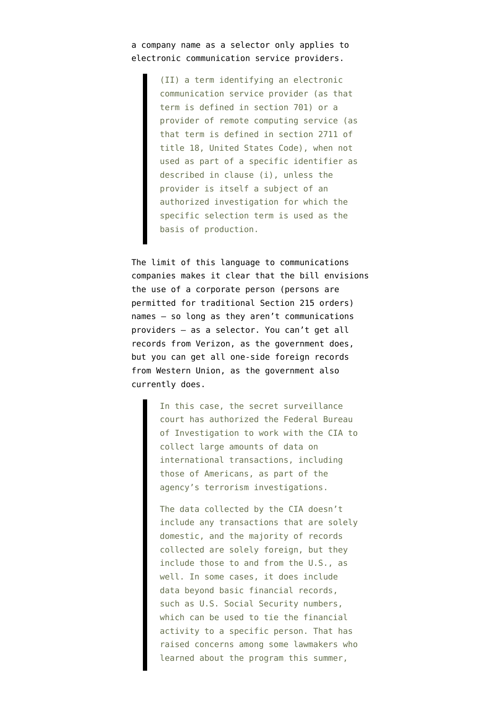## a company name as a selector only applies to electronic communication service providers.

(II) a term identifying an electronic communication service provider (as that term is defined in section 701) or a provider of remote computing service (as that term is defined in section 2711 of title 18, United States Code), when not used as part of a specific identifier as described in clause (i), unless the provider is itself a subject of an authorized investigation for which the specific selection term is used as the basis of production.

The limit of this language to communications companies makes it clear that the bill envisions the use of a corporate person (persons are permitted for traditional Section 215 orders) names — so long as they aren't communications providers — as a selector. You can't get all records from Verizon, as the government does, but you can get all [one-side foreign records](http://online.wsj.com/news/articles/SB10001424052702303559504579198370113163530) from Western Union, as the government also currently does.

> In this case, the secret surveillance court has authorized the Federal Bureau of Investigation to work with the CIA to collect large amounts of data on international transactions, including those of Americans, as part of the agency's terrorism investigations.

The data collected by the CIA doesn't include any transactions that are solely domestic, and the majority of records collected are solely foreign, but they include those to and from the U.S., as well. In some cases, it does include data beyond basic financial records, such as U.S. Social Security numbers, which can be used to tie the financial activity to a specific person. That has raised concerns among some lawmakers who learned about the program this summer,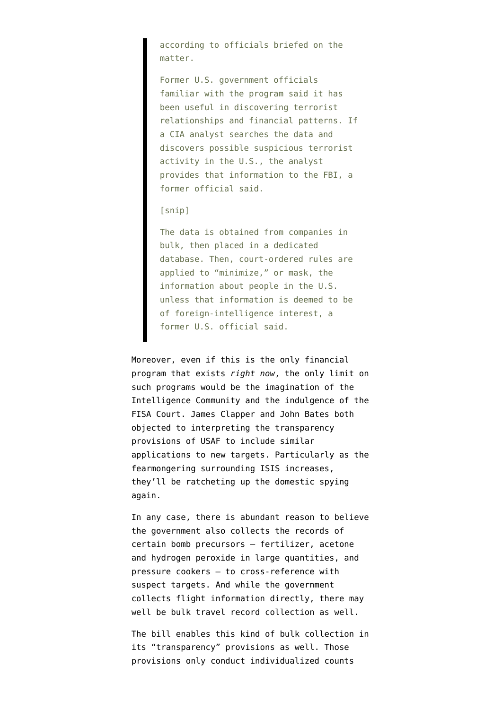according to officials briefed on the matter.

Former U.S. government officials familiar with the program said it has been useful in discovering terrorist relationships and financial patterns. If a CIA analyst searches the data and discovers possible suspicious terrorist activity in the U.S., the analyst provides that information to the FBI, a former official said.

## [snip]

The data is obtained from companies in bulk, then placed in a dedicated database. Then, court-ordered rules are applied to "minimize," or mask, the information about people in the U.S. unless that information is deemed to be of foreign-intelligence interest, a former U.S. official said.

Moreover, even if this is the only financial program that exists *right now*, the only limit on such programs would be the imagination of the Intelligence Community and the indulgence of the FISA Court. James Clapper and John Bates both objected to interpreting the transparency provisions of USAF to include similar applications to new targets. Particularly as the fearmongering surrounding ISIS increases, they'll be ratcheting up the domestic spying again.

In any case, there is abundant reason to believe the government also collects the records of certain bomb precursors — fertilizer, acetone and hydrogen peroxide in large quantities, and pressure cookers — to cross-reference with suspect targets. And while the government collects flight information directly, there may well be bulk travel record collection as well.

The bill enables this kind of bulk collection in its "transparency" provisions as well. Those provisions only conduct individualized counts